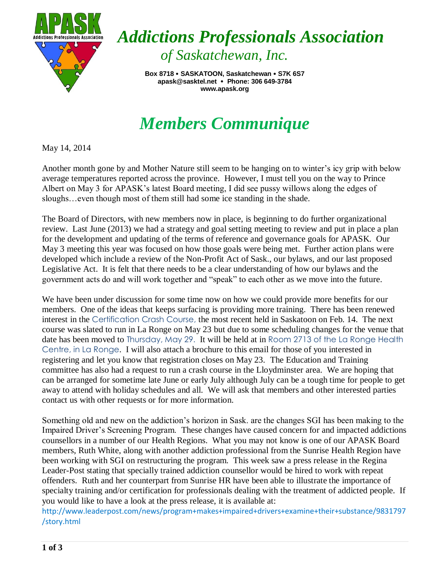

*Addictions Professionals Association of Saskatchewan, Inc.*

> **Box 8718 SASKATOON, Saskatchewan S7K 6S7 apask@sasktel.net Phone: 306 649-3784** **www.apask.org**

## *Members Communique*

May 14, 2014

Another month gone by and Mother Nature still seem to be hanging on to winter's icy grip with below average temperatures reported across the province. However, I must tell you on the way to Prince Albert on May 3 for APASK's latest Board meeting, I did see pussy willows along the edges of sloughs…even though most of them still had some ice standing in the shade.

The Board of Directors, with new members now in place, is beginning to do further organizational review. Last June (2013) we had a strategy and goal setting meeting to review and put in place a plan for the development and updating of the terms of reference and governance goals for APASK. Our May 3 meeting this year was focused on how those goals were being met. Further action plans were developed which include a review of the Non-Profit Act of Sask., our bylaws, and our last proposed Legislative Act. It is felt that there needs to be a clear understanding of how our bylaws and the government acts do and will work together and "speak" to each other as we move into the future.

We have been under discussion for some time now on how we could provide more benefits for our members. One of the ideas that keeps surfacing is providing more training. There has been renewed interest in the Certification Crash Course, the most recent held in Saskatoon on Feb. 14. The next course was slated to run in La Ronge on May 23 but due to some scheduling changes for the venue that date has been moved to Thursday, May 29. It will be held at in Room 2713 of the La Ronge Health Centre, in La Ronge. I will also attach a brochure to this email for those of you interested in registering and let you know that registration closes on May 23. The Education and Training committee has also had a request to run a crash course in the Lloydminster area. We are hoping that can be arranged for sometime late June or early July although July can be a tough time for people to get away to attend with holiday schedules and all. We will ask that members and other interested parties contact us with other requests or for more information.

Something old and new on the addiction's horizon in Sask. are the changes SGI has been making to the Impaired Driver's Screening Program. These changes have caused concern for and impacted addictions counsellors in a number of our Health Regions. What you may not know is one of our APASK Board members, Ruth White, along with another addiction professional from the Sunrise Health Region have been working with SGI on restructuring the program. This week saw a press release in the Regina Leader-Post stating that specially trained addiction counsellor would be hired to work with repeat offenders. Ruth and her counterpart from Sunrise HR have been able to illustrate the importance of specialty training and/or certification for professionals dealing with the treatment of addicted people. If you would like to have a look at the press release, it is available at:

[http://www.leaderpost.com/news/program+makes+impaired+drivers+examine+their+substance/9831797](http://www.leaderpost.com/news/program+makes+impaired+drivers+examine+their+substance/9831797/story.html) [/story.html](http://www.leaderpost.com/news/program+makes+impaired+drivers+examine+their+substance/9831797/story.html)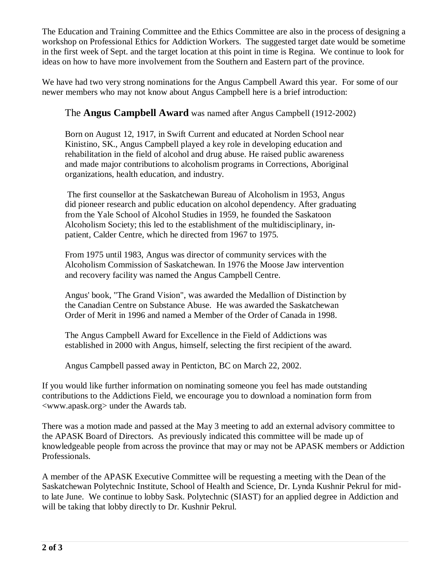The Education and Training Committee and the Ethics Committee are also in the process of designing a workshop on Professional Ethics for Addiction Workers. The suggested target date would be sometime in the first week of Sept. and the target location at this point in time is Regina. We continue to look for ideas on how to have more involvement from the Southern and Eastern part of the province.

We have had two very strong nominations for the Angus Campbell Award this year. For some of our newer members who may not know about Angus Campbell here is a brief introduction:

## The **Angus Campbell Award** was named after Angus Campbell (1912-2002)

Born on August 12, 1917, in Swift Current and educated at Norden School near Kinistino, SK., Angus Campbell played a key role in developing education and rehabilitation in the field of alcohol and drug abuse. He raised public awareness and made major contributions to alcoholism programs in Corrections, Aboriginal organizations, health education, and industry.

The first counsellor at the Saskatchewan Bureau of Alcoholism in 1953, Angus did pioneer research and public education on alcohol dependency. After graduating from the Yale School of Alcohol Studies in 1959, he founded the Saskatoon Alcoholism Society; this led to the establishment of the multidisciplinary, inpatient, Calder Centre, which he directed from 1967 to 1975.

From 1975 until 1983, Angus was director of community services with the Alcoholism Commission of Saskatchewan. In 1976 the Moose Jaw intervention and recovery facility was named the Angus Campbell Centre.

Angus' book, "The Grand Vision", was awarded the Medallion of Distinction by the Canadian Centre on Substance Abuse. He was awarded the Saskatchewan Order of Merit in 1996 and named a Member of the Order of Canada in 1998.

The Angus Campbell Award for Excellence in the Field of Addictions was established in 2000 with Angus, himself, selecting the first recipient of the award.

Angus Campbell passed away in Penticton, BC on March 22, 2002.

If you would like further information on nominating someone you feel has made outstanding contributions to the Addictions Field, we encourage you to download a nomination form from [<www.apask.org>](http://www.apask.org/) under the Awards tab.

There was a motion made and passed at the May 3 meeting to add an external advisory committee to the APASK Board of Directors. As previously indicated this committee will be made up of knowledgeable people from across the province that may or may not be APASK members or Addiction Professionals.

A member of the APASK Executive Committee will be requesting a meeting with the Dean of the Saskatchewan Polytechnic Institute, School of Health and Science, Dr. Lynda Kushnir Pekrul for midto late June. We continue to lobby Sask. Polytechnic (SIAST) for an applied degree in Addiction and will be taking that lobby directly to Dr. Kushnir Pekrul.